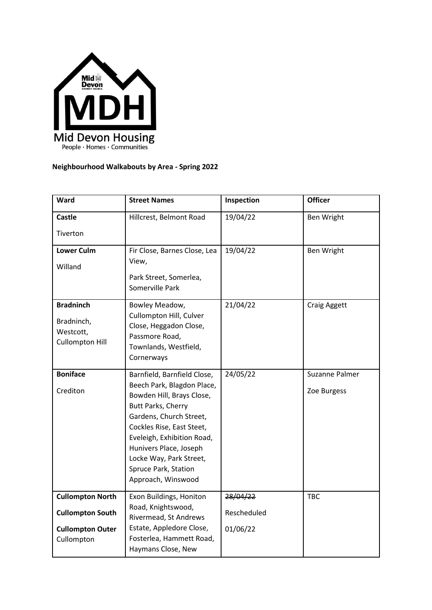

## **Neighbourhood Walkabouts by Area - Spring 2022**

| Ward                                                                                        | <b>Street Names</b>                                                                                                                                                                                                                                                                                   | Inspection                          | <b>Officer</b>                |
|---------------------------------------------------------------------------------------------|-------------------------------------------------------------------------------------------------------------------------------------------------------------------------------------------------------------------------------------------------------------------------------------------------------|-------------------------------------|-------------------------------|
| <b>Castle</b>                                                                               | Hillcrest, Belmont Road                                                                                                                                                                                                                                                                               | 19/04/22                            | <b>Ben Wright</b>             |
| Tiverton                                                                                    |                                                                                                                                                                                                                                                                                                       |                                     |                               |
| <b>Lower Culm</b><br>Willand                                                                | Fir Close, Barnes Close, Lea<br>View,<br>Park Street, Somerlea,<br>Somerville Park                                                                                                                                                                                                                    | 19/04/22                            | Ben Wright                    |
| <b>Bradninch</b><br>Bradninch,<br>Westcott,<br><b>Cullompton Hill</b>                       | Bowley Meadow,<br>Cullompton Hill, Culver<br>Close, Heggadon Close,<br>Passmore Road,<br>Townlands, Westfield,<br>Cornerways                                                                                                                                                                          | 21/04/22                            | <b>Craig Aggett</b>           |
| <b>Boniface</b><br>Crediton                                                                 | Barnfield, Barnfield Close,<br>Beech Park, Blagdon Place,<br>Bowden Hill, Brays Close,<br>Butt Parks, Cherry<br>Gardens, Church Street,<br>Cockles Rise, East Steet,<br>Eveleigh, Exhibition Road,<br>Hunivers Place, Joseph<br>Locke Way, Park Street,<br>Spruce Park, Station<br>Approach, Winswood | 24/05/22                            | Suzanne Palmer<br>Zoe Burgess |
| <b>Cullompton North</b><br><b>Cullompton South</b><br><b>Cullompton Outer</b><br>Cullompton | Exon Buildings, Honiton<br>Road, Knightswood,<br>Rivermead, St Andrews<br>Estate, Appledore Close,<br>Fosterlea, Hammett Road,<br>Haymans Close, New                                                                                                                                                  | 28/04/22<br>Rescheduled<br>01/06/22 | <b>TBC</b>                    |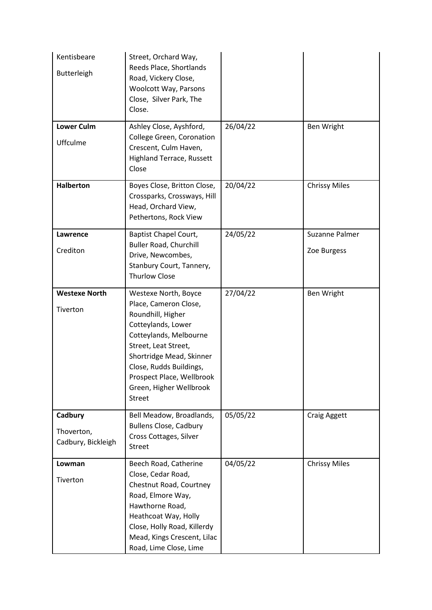| Kentisbeare<br>Butterleigh                  | Street, Orchard Way,<br>Reeds Place, Shortlands<br>Road, Vickery Close,<br>Woolcott Way, Parsons<br>Close, Silver Park, The<br>Close.                                                                                                                                      |          |                               |
|---------------------------------------------|----------------------------------------------------------------------------------------------------------------------------------------------------------------------------------------------------------------------------------------------------------------------------|----------|-------------------------------|
| <b>Lower Culm</b><br>Uffculme               | Ashley Close, Ayshford,<br>College Green, Coronation<br>Crescent, Culm Haven,<br><b>Highland Terrace, Russett</b><br>Close                                                                                                                                                 | 26/04/22 | Ben Wright                    |
| <b>Halberton</b>                            | Boyes Close, Britton Close,<br>Crossparks, Crossways, Hill<br>Head, Orchard View,<br>Pethertons, Rock View                                                                                                                                                                 | 20/04/22 | <b>Chrissy Miles</b>          |
| Lawrence<br>Crediton                        | <b>Baptist Chapel Court,</b><br><b>Buller Road, Churchill</b><br>Drive, Newcombes,<br>Stanbury Court, Tannery,<br><b>Thurlow Close</b>                                                                                                                                     | 24/05/22 | Suzanne Palmer<br>Zoe Burgess |
| <b>Westexe North</b><br>Tiverton            | Westexe North, Boyce<br>Place, Cameron Close,<br>Roundhill, Higher<br>Cotteylands, Lower<br>Cotteylands, Melbourne<br>Street, Leat Street,<br>Shortridge Mead, Skinner<br>Close, Rudds Buildings,<br>Prospect Place, Wellbrook<br>Green, Higher Wellbrook<br><b>Street</b> | 27/04/22 | Ben Wright                    |
| Cadbury<br>Thoverton,<br>Cadbury, Bickleigh | Bell Meadow, Broadlands,<br><b>Bullens Close, Cadbury</b><br>Cross Cottages, Silver<br><b>Street</b>                                                                                                                                                                       | 05/05/22 | <b>Craig Aggett</b>           |
| Lowman<br>Tiverton                          | Beech Road, Catherine<br>Close, Cedar Road,<br>Chestnut Road, Courtney<br>Road, Elmore Way,<br>Hawthorne Road,<br>Heathcoat Way, Holly<br>Close, Holly Road, Killerdy<br>Mead, Kings Crescent, Lilac<br>Road, Lime Close, Lime                                             | 04/05/22 | <b>Chrissy Miles</b>          |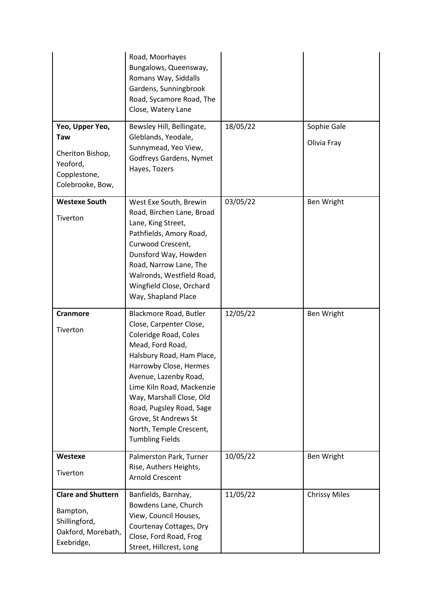|                                                                                            | Road, Moorhayes<br>Bungalows, Queensway,<br>Romans Way, Siddalls<br>Gardens, Sunningbrook<br>Road, Sycamore Road, The<br>Close, Watery Lane                                                                                                                                                                                                      |          |                            |
|--------------------------------------------------------------------------------------------|--------------------------------------------------------------------------------------------------------------------------------------------------------------------------------------------------------------------------------------------------------------------------------------------------------------------------------------------------|----------|----------------------------|
| Yeo, Upper Yeo,<br>Taw<br>Cheriton Bishop,<br>Yeoford,<br>Copplestone,<br>Colebrooke, Bow, | Bewsley Hill, Bellingate,<br>Gleblands, Yeodale,<br>Sunnymead, Yeo View,<br>Godfreys Gardens, Nymet<br>Hayes, Tozers                                                                                                                                                                                                                             | 18/05/22 | Sophie Gale<br>Olivia Fray |
| <b>Westexe South</b><br>Tiverton                                                           | West Exe South, Brewin<br>Road, Birchen Lane, Broad<br>Lane, King Street,<br>Pathfields, Amory Road,<br>Curwood Crescent,<br>Dunsford Way, Howden<br>Road, Narrow Lane, The<br>Walronds, Westfield Road,<br>Wingfield Close, Orchard<br>Way, Shapland Place                                                                                      | 03/05/22 | Ben Wright                 |
| <b>Cranmore</b><br>Tiverton                                                                | Blackmore Road, Butler<br>Close, Carpenter Close,<br>Coleridge Road, Coles<br>Mead, Ford Road,<br>Halsbury Road, Ham Place,<br>Harrowby Close, Hermes<br>Avenue, Lazenby Road,<br>Lime Kiln Road, Mackenzie<br>Way, Marshall Close, Old<br>Road, Pugsley Road, Sage<br>Grove, St Andrews St<br>North, Temple Crescent,<br><b>Tumbling Fields</b> | 12/05/22 | Ben Wright                 |
| Westexe<br>Tiverton                                                                        | Palmerston Park, Turner<br>Rise, Authers Heights,<br><b>Arnold Crescent</b>                                                                                                                                                                                                                                                                      | 10/05/22 | Ben Wright                 |
| <b>Clare and Shuttern</b><br>Bampton,<br>Shillingford,<br>Oakford, Morebath,<br>Exebridge, | Banfields, Barnhay,<br>Bowdens Lane, Church<br>View, Council Houses,<br>Courtenay Cottages, Dry<br>Close, Ford Road, Frog<br>Street, Hillcrest, Long                                                                                                                                                                                             | 11/05/22 | <b>Chrissy Miles</b>       |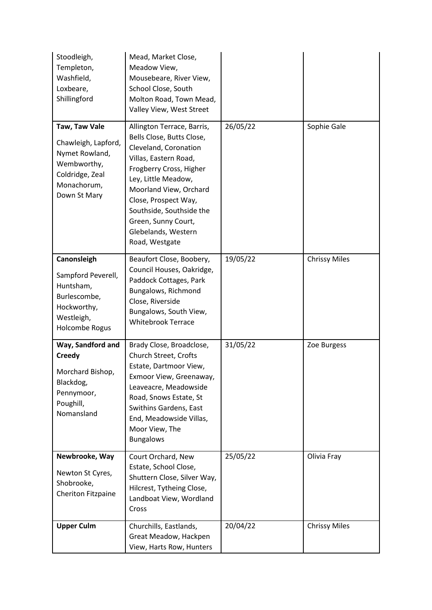| Stoodleigh,<br>Templeton,<br>Washfield,<br>Loxbeare,<br>Shillingford                                                    | Mead, Market Close,<br>Meadow View,<br>Mousebeare, River View,<br>School Close, South<br>Molton Road, Town Mead,<br>Valley View, West Street                                                                                                                                                              |          |                      |
|-------------------------------------------------------------------------------------------------------------------------|-----------------------------------------------------------------------------------------------------------------------------------------------------------------------------------------------------------------------------------------------------------------------------------------------------------|----------|----------------------|
| Taw, Taw Vale<br>Chawleigh, Lapford,<br>Nymet Rowland,<br>Wembworthy,<br>Coldridge, Zeal<br>Monachorum,<br>Down St Mary | Allington Terrace, Barris,<br>Bells Close, Butts Close,<br>Cleveland, Coronation<br>Villas, Eastern Road,<br>Frogberry Cross, Higher<br>Ley, Little Meadow,<br>Moorland View, Orchard<br>Close, Prospect Way,<br>Southside, Southside the<br>Green, Sunny Court,<br>Glebelands, Western<br>Road, Westgate | 26/05/22 | Sophie Gale          |
| Canonsleigh<br>Sampford Peverell,<br>Huntsham,<br>Burlescombe,<br>Hockworthy,<br>Westleigh,<br>Holcombe Rogus           | Beaufort Close, Boobery,<br>Council Houses, Oakridge,<br>Paddock Cottages, Park<br>Bungalows, Richmond<br>Close, Riverside<br>Bungalows, South View,<br><b>Whitebrook Terrace</b>                                                                                                                         | 19/05/22 | <b>Chrissy Miles</b> |
| Way, Sandford and<br><b>Creedy</b><br>Morchard Bishop,<br>Blackdog,<br>Pennymoor,<br>Poughill,<br>Nomansland            | Brady Close, Broadclose,<br>Church Street, Crofts<br>Estate, Dartmoor View,<br>Exmoor View, Greenaway,<br>Leaveacre, Meadowside<br>Road, Snows Estate, St<br>Swithins Gardens, East<br>End, Meadowside Villas,<br>Moor View, The<br><b>Bungalows</b>                                                      | 31/05/22 | Zoe Burgess          |
| Newbrooke, Way<br>Newton St Cyres,<br>Shobrooke,<br>Cheriton Fitzpaine                                                  | Court Orchard, New<br>Estate, School Close,<br>Shuttern Close, Silver Way,<br>Hilcrest, Tytheing Close,<br>Landboat View, Wordland<br>Cross                                                                                                                                                               | 25/05/22 | Olivia Fray          |
| <b>Upper Culm</b>                                                                                                       | Churchills, Eastlands,<br>Great Meadow, Hackpen<br>View, Harts Row, Hunters                                                                                                                                                                                                                               | 20/04/22 | <b>Chrissy Miles</b> |